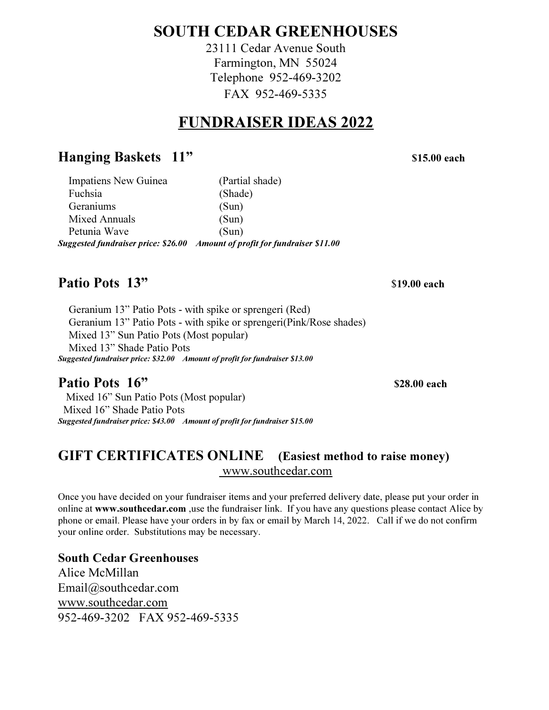# SOUTH CEDAR GREENHOUSES

23111 Cedar Avenue South Farmington, MN 55024 Telephone 952-469-3202 FAX 952-469-5335

# FUNDRAISER IDEAS 2022

# Hanging Baskets 11" \$15.00 each

| Impatiens New Guinea | (Partial shade)                                                             |
|----------------------|-----------------------------------------------------------------------------|
| Fuchsia              | (Shade)                                                                     |
| Geraniums            | (Sun)                                                                       |
| Mixed Annuals        | (Sun)                                                                       |
| Petunia Wave         | (Sun)                                                                       |
|                      | Suggested fundraiser price: \$26.00 Amount of profit for fundraiser \$11.00 |

# Patio Pots 13"  $\frac{13}{2}$

 Geranium 13" Patio Pots - with spike or sprengeri (Red) Geranium 13" Patio Pots - with spike or sprengeri(Pink/Rose shades) Mixed 13" Sun Patio Pots (Most popular) Mixed 13" Shade Patio Pots Suggested fundraiser price: \$32.00 Amount of profit for fundraiser \$13.00

# Patio Pots  $16"$  \$28.00 each

 Mixed 16" Sun Patio Pots (Most popular) Mixed 16" Shade Patio Pots Suggested fundraiser price: \$43.00 Amount of profit for fundraiser \$15.00

# GIFT CERTIFICATES ONLINE (Easiest method to raise money) www.southcedar.com

Once you have decided on your fundraiser items and your preferred delivery date, please put your order in online at www.southcedar.com ,use the fundraiser link. If you have any questions please contact Alice by phone or email. Please have your orders in by fax or email by March 14, 2022. Call if we do not confirm your online order. Substitutions may be necessary.

## South Cedar Greenhouses

Alice McMillan Email@southcedar.com www.southcedar.com 952-469-3202 FAX 952-469-5335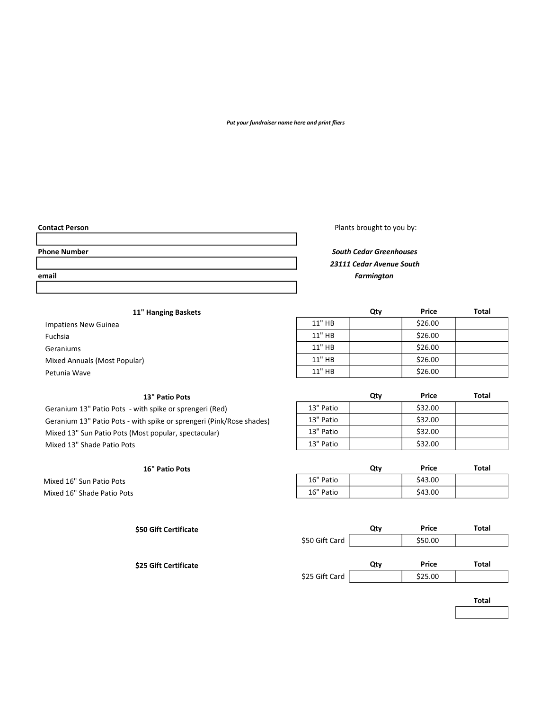#### Put your fundraiser name here and print fliers

Contact Person **Plants** brought to you by:

## Phone Number **South Cedar Greenhouses** South Cedar Greenhouses 23111 Cedar Avenue South email **Example 2008 Example 2008 Example 2008 Example 2008 Example 2008 Example 2008 Example 2008 Example 2008**

### 11" Hanging Baskets

## 13" Patio Pots

Geranium 13" Patio Pots - with spike or sprengeri (Red) Geranium 13" Patio Pots - with spike or sprengeri (Pink/Rose shades) Mixed 13" Sun Patio Pots (Most popular, spectacular) Mixed 13" Shade Patio Pots

| 11" Hanging Baskets          |        | Qty | Price   | <b>Total</b> |
|------------------------------|--------|-----|---------|--------------|
| Impatiens New Guinea         | 11" HB |     | \$26.00 |              |
| Fuchsia                      | 11" HB |     | \$26.00 |              |
| Geraniums                    | 11" HB |     | \$26.00 |              |
| Mixed Annuals (Most Popular) | 11" HB |     | \$26.00 |              |
| Petunia Wave                 | 11" HB |     | \$26.00 |              |

|           | Qtv | Price   | Total |
|-----------|-----|---------|-------|
| 13" Patio |     | \$32.00 |       |
| 13" Patio |     | \$32.00 |       |
| 13" Patio |     | \$32.00 |       |
| 13" Patio |     | \$32.00 |       |

| <b>16" Patio Pots</b>      |           | Qty | Price   | Total |
|----------------------------|-----------|-----|---------|-------|
| Mixed 16" Sun Patio Pots   | 16" Patio |     | \$43.00 |       |
| Mixed 16" Shade Patio Pots | 16" Patio |     | \$43.00 |       |

| \$50 Gift Certificate |                | Qty | Price   | Total |
|-----------------------|----------------|-----|---------|-------|
|                       | \$50 Gift Card |     | \$50.00 |       |
|                       |                |     |         |       |
| \$25 Gift Certificate |                | Qty | Price   | Total |
|                       | \$25 Gift Card |     | \$25.00 |       |

| v. | ۰. | $ -$ |  |
|----|----|------|--|
|    |    |      |  |